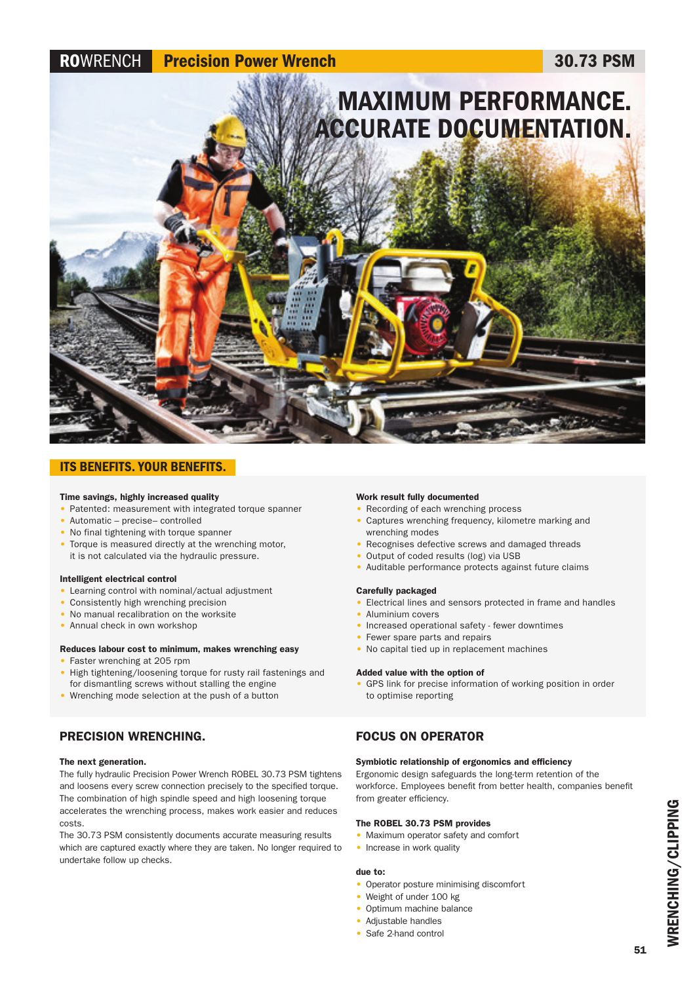# ROWRENCH Precision Power Wrench 30.73 PSM



## ITS BENEFITS. YOUR BENEFITS.

#### Time savings, highly increased quality

- Patented: measurement with integrated torque spanner
- Automatic precise– controlled
- No final tightening with torque spanner
- Torque is measured directly at the wrenching motor, it is not calculated via the hydraulic pressure.

#### Intelligent electrical control

- Learning control with nominal/actual adjustment
- Consistently high wrenching precision
- No manual recalibration on the worksite
- Annual check in own workshop

#### Reduces labour cost to minimum, makes wrenching easy

- Faster wrenching at 205 rpm
- High tightening/loosening torque for rusty rail fastenings and for dismantling screws without stalling the engine
- Wrenching mode selection at the push of a button

## PRECISION WRENCHING.

#### The next generation.

The fully hydraulic Precision Power Wrench ROBEL 30.73 PSM tightens and loosens every screw connection precisely to the specified torque. The combination of high spindle speed and high loosening torque accelerates the wrenching process, makes work easier and reduces costs.

The 30.73 PSM consistently documents accurate measuring results which are captured exactly where they are taken. No longer required to undertake follow up checks.

#### Work result fully documented

- Recording of each wrenching process
	- Captures wrenching frequency, kilometre marking and wrenching modes
	- Recognises defective screws and damaged threads
	- Output of coded results (log) via USB
	- Auditable performance protects against future claims

#### Carefully packaged

- Electrical lines and sensors protected in frame and handles
- Aluminium covers
- Increased operational safety fewer downtimes
- Fewer spare parts and repairs
- No capital tied up in replacement machines

#### Added value with the option of

• GPS link for precise information of working position in order to optimise reporting

## FOCUS ON OPERATOR

#### Symbiotic relationship of ergonomics and efficiency

Ergonomic design safeguards the long-term retention of the workforce. Employees benefit from better health, companies benefit from greater efficiency.

#### The ROBEL 30.73 PSM provides

- Maximum operator safety and comfort
- Increase in work quality

#### due to:

- Operator posture minimising discomfort
- Weight of under 100 kg
- Optimum machine balance
- Adjustable handles
- Safe 2-hand control